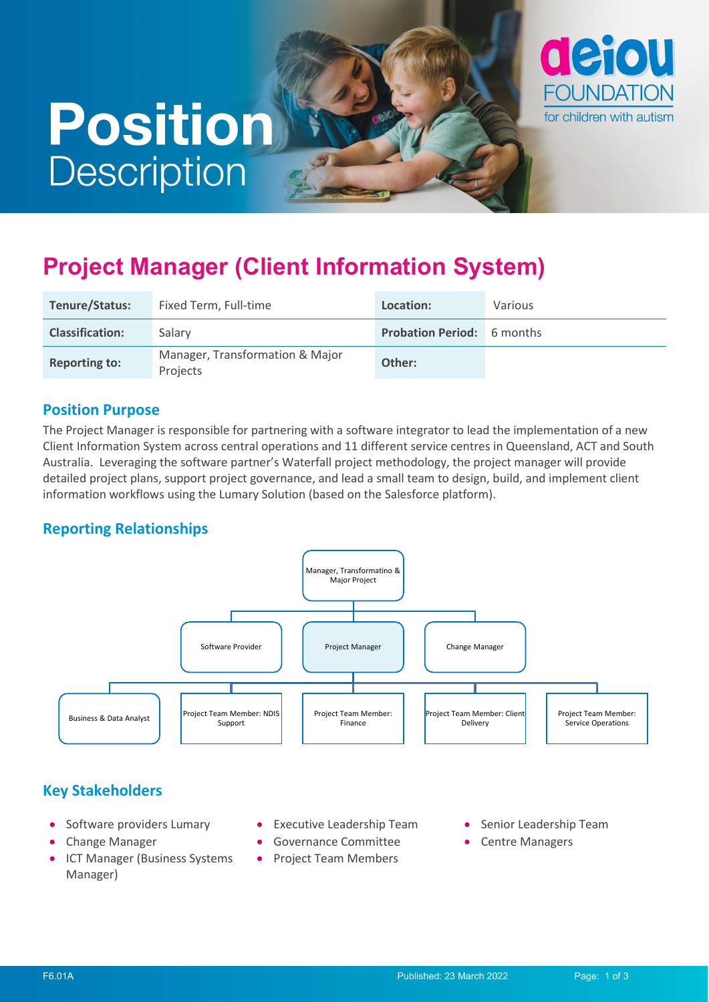# **Position Description**



# **Project Manager (Client Information System)**

| Tenure/Status:         | Fixed Term, Full-time                       | Location:                         | Various |
|------------------------|---------------------------------------------|-----------------------------------|---------|
| <b>Classification:</b> | Salary                                      | <b>Probation Period:</b> 6 months |         |
| <b>Reporting to:</b>   | Manager, Transformation & Major<br>Projects | Other:                            |         |

#### **Position Purpose**

The Project Manager is responsible for partnering with a software integrator to lead the implementation of a new Client Information System across central operations and 11 different service centres in Queensland, ACT and South Australia. Leveraging the software partner's Waterfall project methodology, the project manager will provide detailed project plans, support project governance, and lead a small team to design, build, and implement client information workflows using the Lumary Solution (based on the Salesforce platform).

### **Reporting Relationships**



### **Key Stakeholders**

- Software providers Lumary
- Change Manager
- ICT Manager (Business Systems Manager)
- Executive Leadership Team
- Governance Committee
- Project Team Members
- Senior Leadership Team
- Centre Managers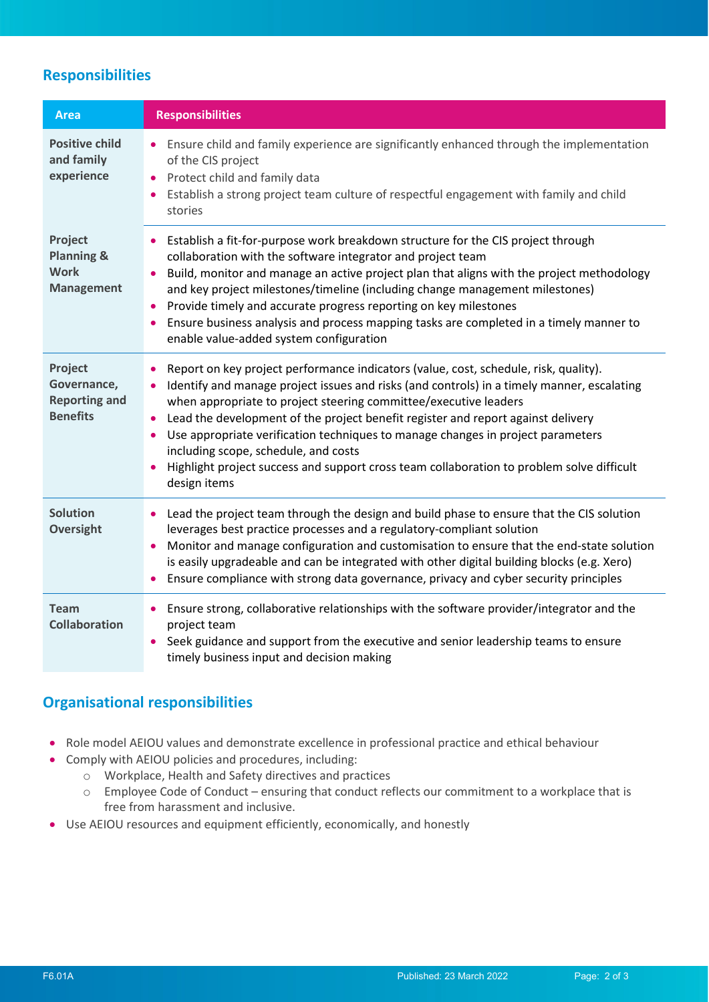## **Responsibilities**

| <b>Area</b>                                                          | <b>Responsibilities</b>                                                                                                                                                                                                                                                                                                                                                                                                                                                                                                                                                            |
|----------------------------------------------------------------------|------------------------------------------------------------------------------------------------------------------------------------------------------------------------------------------------------------------------------------------------------------------------------------------------------------------------------------------------------------------------------------------------------------------------------------------------------------------------------------------------------------------------------------------------------------------------------------|
| <b>Positive child</b><br>and family<br>experience                    | Ensure child and family experience are significantly enhanced through the implementation<br>of the CIS project<br>Protect child and family data<br>$\bullet$<br>Establish a strong project team culture of respectful engagement with family and child<br>stories                                                                                                                                                                                                                                                                                                                  |
| Project<br><b>Planning &amp;</b><br><b>Work</b><br><b>Management</b> | Establish a fit-for-purpose work breakdown structure for the CIS project through<br>collaboration with the software integrator and project team<br>Build, monitor and manage an active project plan that aligns with the project methodology<br>$\bullet$<br>and key project milestones/timeline (including change management milestones)<br>Provide timely and accurate progress reporting on key milestones<br>Ensure business analysis and process mapping tasks are completed in a timely manner to<br>enable value-added system configuration                                 |
| Project<br>Governance,<br><b>Reporting and</b><br><b>Benefits</b>    | Report on key project performance indicators (value, cost, schedule, risk, quality).<br>Identify and manage project issues and risks (and controls) in a timely manner, escalating<br>when appropriate to project steering committee/executive leaders<br>Lead the development of the project benefit register and report against delivery<br>Use appropriate verification techniques to manage changes in project parameters<br>including scope, schedule, and costs<br>Highlight project success and support cross team collaboration to problem solve difficult<br>design items |
| <b>Solution</b><br><b>Oversight</b>                                  | Lead the project team through the design and build phase to ensure that the CIS solution<br>٠<br>leverages best practice processes and a regulatory-compliant solution<br>Monitor and manage configuration and customisation to ensure that the end-state solution<br>is easily upgradeable and can be integrated with other digital building blocks (e.g. Xero)<br>Ensure compliance with strong data governance, privacy and cyber security principles                                                                                                                           |
| <b>Team</b><br><b>Collaboration</b>                                  | Ensure strong, collaborative relationships with the software provider/integrator and the<br>٠<br>project team<br>Seek guidance and support from the executive and senior leadership teams to ensure<br>$\bullet$<br>timely business input and decision making                                                                                                                                                                                                                                                                                                                      |

#### **Organisational responsibilities**

- Role model AEIOU values and demonstrate excellence in professional practice and ethical behaviour
- Comply with AEIOU policies and procedures, including:
	- o Workplace, Health and Safety directives and practices
	- o Employee Code of Conduct ensuring that conduct reflects our commitment to a workplace that is free from harassment and inclusive.
- Use AEIOU resources and equipment efficiently, economically, and honestly